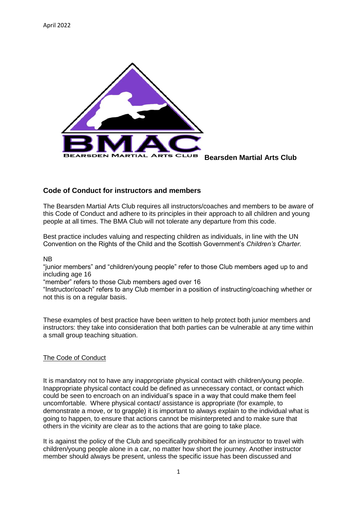

**Bearsden Martial Arts Club**

## **Code of Conduct for instructors and members**

The Bearsden Martial Arts Club requires all instructors/coaches and members to be aware of this Code of Conduct and adhere to its principles in their approach to all children and young people at all times. The BMA Club will not tolerate any departure from this code.

Best practice includes valuing and respecting children as individuals, in line with the UN Convention on the Rights of the Child and the Scottish Government's *Children's Charter.*

NB

"junior members" and "children/young people" refer to those Club members aged up to and including age 16

"member" refers to those Club members aged over 16

"Instructor/coach" refers to any Club member in a position of instructing/coaching whether or not this is on a regular basis.

These examples of best practice have been written to help protect both junior members and instructors: they take into consideration that both parties can be vulnerable at any time within a small group teaching situation.

## The Code of Conduct

It is mandatory not to have any inappropriate physical contact with children/young people. Inappropriate physical contact could be defined as unnecessary contact, or contact which could be seen to encroach on an individual's space in a way that could make them feel uncomfortable. Where physical contact/ assistance is appropriate (for example, to demonstrate a move, or to grapple) it is important to always explain to the individual what is going to happen, to ensure that actions cannot be misinterpreted and to make sure that others in the vicinity are clear as to the actions that are going to take place.

It is against the policy of the Club and specifically prohibited for an instructor to travel with children/young people alone in a car, no matter how short the journey. Another instructor member should always be present, unless the specific issue has been discussed and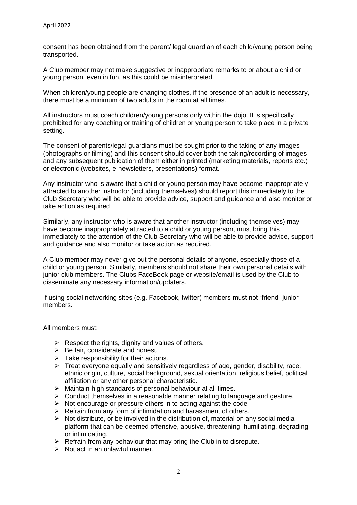consent has been obtained from the parent/ legal guardian of each child/young person being transported.

A Club member may not make suggestive or inappropriate remarks to or about a child or young person, even in fun, as this could be misinterpreted.

When children/young people are changing clothes, if the presence of an adult is necessary, there must be a minimum of two adults in the room at all times.

All instructors must coach children/young persons only within the dojo. It is specifically prohibited for any coaching or training of children or young person to take place in a private setting.

The consent of parents/legal guardians must be sought prior to the taking of any images (photographs or filming) and this consent should cover both the taking/recording of images and any subsequent publication of them either in printed (marketing materials, reports etc.) or electronic (websites, e-newsletters, presentations) format.

Any instructor who is aware that a child or young person may have become inappropriately attracted to another instructor (including themselves) should report this immediately to the Club Secretary who will be able to provide advice, support and guidance and also monitor or take action as required

Similarly, any instructor who is aware that another instructor (including themselves) may have become inappropriately attracted to a child or young person, must bring this immediately to the attention of the Club Secretary who will be able to provide advice, support and guidance and also monitor or take action as required.

A Club member may never give out the personal details of anyone, especially those of a child or young person. Similarly, members should not share their own personal details with junior club members. The Clubs FaceBook page or website/email is used by the Club to disseminate any necessary information/updaters.

If using social networking sites (e.g. Facebook, twitter) members must not "friend" junior members.

All members must:

- $\triangleright$  Respect the rights, dignity and values of others.
- $\triangleright$  Be fair, considerate and honest.
- $\triangleright$  Take responsibility for their actions.
- $\triangleright$  Treat everyone equally and sensitively regardless of age, gender, disability, race, ethnic origin, culture, social background, sexual orientation, religious belief, political affiliation or any other personal characteristic.
- $\triangleright$  Maintain high standards of personal behaviour at all times.
- $\triangleright$  Conduct themselves in a reasonable manner relating to language and gesture.
- $\triangleright$  Not encourage or pressure others in to acting against the code
- $\triangleright$  Refrain from any form of intimidation and harassment of others.
- $\triangleright$  Not distribute, or be involved in the distribution of, material on any social media platform that can be deemed offensive, abusive, threatening, humiliating, degrading or intimidating.
- $\triangleright$  Refrain from any behaviour that may bring the Club in to disrepute.
- $\triangleright$  Not act in an unlawful manner.